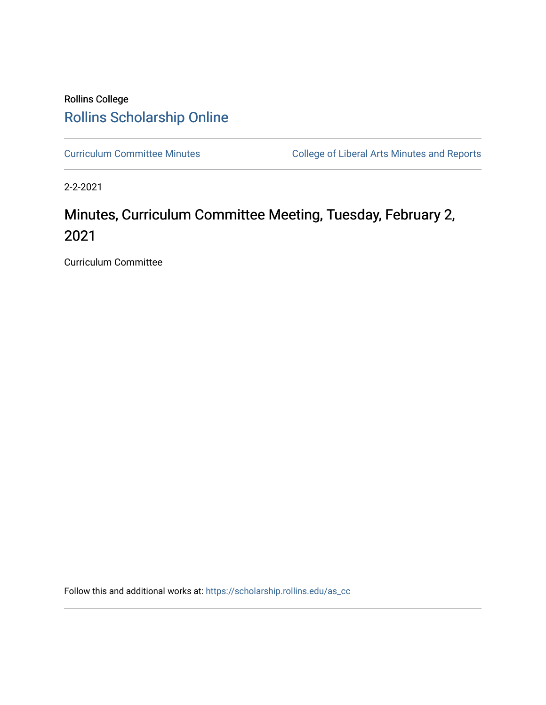# Rollins College [Rollins Scholarship Online](https://scholarship.rollins.edu/)

[Curriculum Committee Minutes](https://scholarship.rollins.edu/as_cc) **College of Liberal Arts Minutes and Reports** 

2-2-2021

# Minutes, Curriculum Committee Meeting, Tuesday, February 2, 2021

Curriculum Committee

Follow this and additional works at: [https://scholarship.rollins.edu/as\\_cc](https://scholarship.rollins.edu/as_cc?utm_source=scholarship.rollins.edu%2Fas_cc%2F94&utm_medium=PDF&utm_campaign=PDFCoverPages)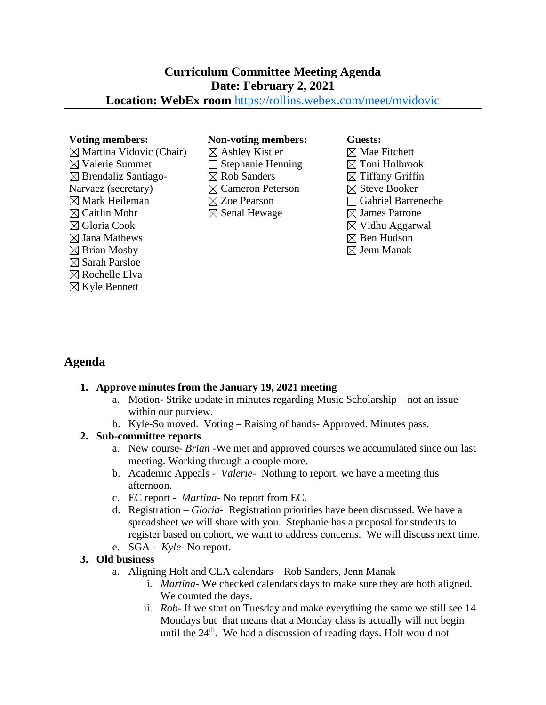# **Curriculum Committee Meeting Agenda Date: February 2, 2021**

### **Location: WebEx room** <https://rollins.webex.com/meet/mvidovic>

 $\boxtimes$  Martina Vidovic (Chair)  $\boxtimes$  Valerie Summet  $\boxtimes$  Brendaliz Santiago-Narvaez (secretary)  $\boxtimes$  Mark Heileman  $\boxtimes$  Caitlin Mohr Gloria Cook  $\boxtimes$  Jana Mathews  $\boxtimes$  Brian Mosby  $\boxtimes$  Sarah Parsloe  $\boxtimes$  Rochelle Elva  $\boxtimes$  Kyle Bennett

#### **Voting members: Non-voting members: Guests:**

 $\boxtimes$  Ashley Kistler  $\Box$  Stephanie Henning  $\boxtimes$  Rob Sanders Cameron Peterson Zoe Pearson  $\boxtimes$  Senal Hewage

 $\boxtimes$  Mae Fitchett  $\boxtimes$  Toni Holbrook  $\boxtimes$  Tiffany Griffin  $\boxtimes$  Steve Booker Gabriel Barreneche  $\boxtimes$  James Patrone  $\boxtimes$  Vidhu Aggarwal  $\boxtimes$  Ben Hudson  $\boxtimes$  Jenn Manak

## **Agenda**

#### **1. Approve minutes from the January 19, 2021 meeting**

- a. Motion- Strike update in minutes regarding Music Scholarship not an issue within our purview.
- b. Kyle-So moved. Voting Raising of hands- Approved. Minutes pass.

#### **2. Sub-committee reports**

- a. New course- *Brian -*We met and approved courses we accumulated since our last meeting. Working through a couple more.
- b. Academic Appeals *Valerie-* Nothing to report, we have a meeting this afternoon.
- c. EC report *Martina-* No report from EC.
- d. Registration *Gloria-* Registration priorities have been discussed. We have a spreadsheet we will share with you. Stephanie has a proposal for students to register based on cohort, we want to address concerns. We will discuss next time. e. SGA - *Kyle-* No report.
- 

#### **3. Old business**

- a. Aligning Holt and CLA calendars Rob Sanders, Jenn Manak
	- i. *Martina* We checked calendars days to make sure they are both aligned. We counted the days.
	- ii. *Rob* If we start on Tuesday and make everything the same we still see 14 Mondays but that means that a Monday class is actually will not begin until the  $24<sup>th</sup>$ . We had a discussion of reading days. Holt would not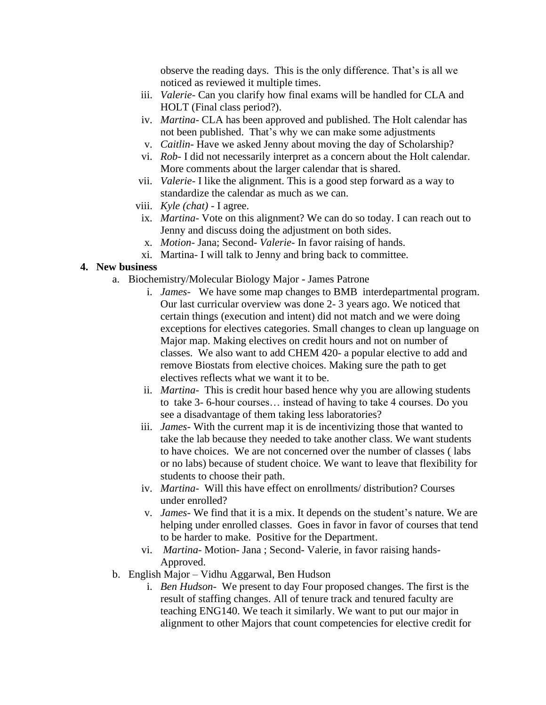observe the reading days. This is the only difference. That's is all we noticed as reviewed it multiple times.

- iii. *Valerie* Can you clarify how final exams will be handled for CLA and HOLT (Final class period?).
- iv. *Martina* CLA has been approved and published. The Holt calendar has not been published. That's why we can make some adjustments
- v. *Caitlin* Have we asked Jenny about moving the day of Scholarship?
- vi. *Rob* I did not necessarily interpret as a concern about the Holt calendar. More comments about the larger calendar that is shared.
- vii. *Valerie* I like the alignment. This is a good step forward as a way to standardize the calendar as much as we can.
- viii. *Kyle (chat)*  I agree.
- ix. *Martina* Vote on this alignment? We can do so today. I can reach out to Jenny and discuss doing the adjustment on both sides.
- x. *Motion* Jana; Second- *Valerie* In favor raising of hands.
- xi. Martina- I will talk to Jenny and bring back to committee.

#### **4. New business**

- a. Biochemistry/Molecular Biology Major James Patrone
	- i. *James-* We have some map changes to BMB interdepartmental program. Our last curricular overview was done 2- 3 years ago. We noticed that certain things (execution and intent) did not match and we were doing exceptions for electives categories. Small changes to clean up language on Major map. Making electives on credit hours and not on number of classes. We also want to add CHEM 420- a popular elective to add and remove Biostats from elective choices. Making sure the path to get electives reflects what we want it to be.
	- ii. *Martina-* This is credit hour based hence why you are allowing students to take 3- 6-hour courses… instead of having to take 4 courses. Do you see a disadvantage of them taking less laboratories?
	- iii. *James-* With the current map it is de incentivizing those that wanted to take the lab because they needed to take another class. We want students to have choices. We are not concerned over the number of classes ( labs or no labs) because of student choice. We want to leave that flexibility for students to choose their path.
	- iv. *Martina-* Will this have effect on enrollments/ distribution? Courses under enrolled?
	- v. *James-* We find that it is a mix. It depends on the student's nature. We are helping under enrolled classes. Goes in favor in favor of courses that tend to be harder to make. Positive for the Department.
	- vi. *Martina* Motion- Jana ; Second- Valerie, in favor raising hands-Approved.
- b. English Major Vidhu Aggarwal, Ben Hudson
	- i. *Ben Hudson* We present to day Four proposed changes. The first is the result of staffing changes. All of tenure track and tenured faculty are teaching ENG140. We teach it similarly. We want to put our major in alignment to other Majors that count competencies for elective credit for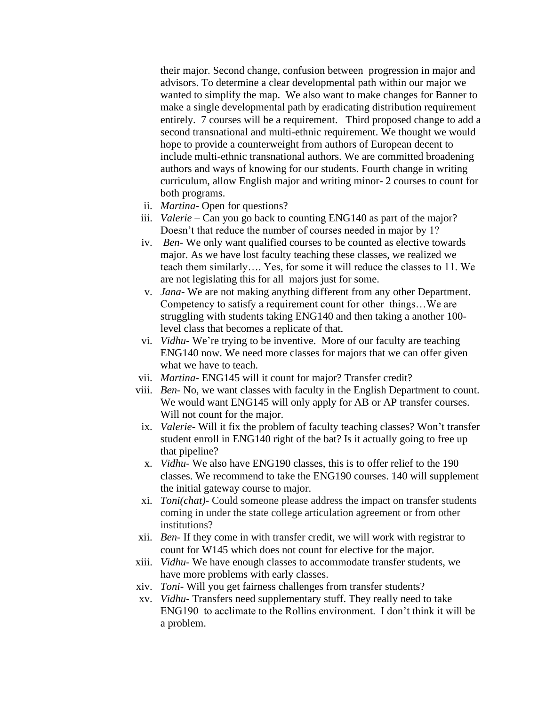their major. Second change, confusion between progression in major and advisors. To determine a clear developmental path within our major we wanted to simplify the map. We also want to make changes for Banner to make a single developmental path by eradicating distribution requirement entirely. 7 courses will be a requirement. Third proposed change to add a second transnational and multi-ethnic requirement. We thought we would hope to provide a counterweight from authors of European decent to include multi-ethnic transnational authors. We are committed broadening authors and ways of knowing for our students. Fourth change in writing curriculum, allow English major and writing minor- 2 courses to count for both programs.

- ii. *Martina* Open for questions?
- iii. *Valerie*  Can you go back to counting ENG140 as part of the major? Doesn't that reduce the number of courses needed in major by 1?
- iv. *Ben* We only want qualified courses to be counted as elective towards major. As we have lost faculty teaching these classes, we realized we teach them similarly…. Yes, for some it will reduce the classes to 11. We are not legislating this for all majors just for some.
- v. *Jana* We are not making anything different from any other Department. Competency to satisfy a requirement count for other things…We are struggling with students taking ENG140 and then taking a another 100 level class that becomes a replicate of that.
- vi. *Vidhu* We're trying to be inventive. More of our faculty are teaching ENG140 now. We need more classes for majors that we can offer given what we have to teach.
- vii. *Martina* ENG145 will it count for major? Transfer credit?
- viii. *Ben* No, we want classes with faculty in the English Department to count. We would want ENG145 will only apply for AB or AP transfer courses. Will not count for the major.
- ix. *Valerie* Will it fix the problem of faculty teaching classes? Won't transfer student enroll in ENG140 right of the bat? Is it actually going to free up that pipeline?
- x. *Vidhu-* We also have ENG190 classes, this is to offer relief to the 190 classes. We recommend to take the ENG190 courses. 140 will supplement the initial gateway course to major.
- xi. *Toni(chat)-* Could someone please address the impact on transfer students coming in under the state college articulation agreement or from other institutions?
- xii. *Ben-* If they come in with transfer credit, we will work with registrar to count for W145 which does not count for elective for the major.
- xiii. *Vidhu-* We have enough classes to accommodate transfer students, we have more problems with early classes.
- xiv. *Toni-* Will you get fairness challenges from transfer students?
- xv. *Vidhu-* Transfers need supplementary stuff. They really need to take ENG190 to acclimate to the Rollins environment. I don't think it will be a problem.